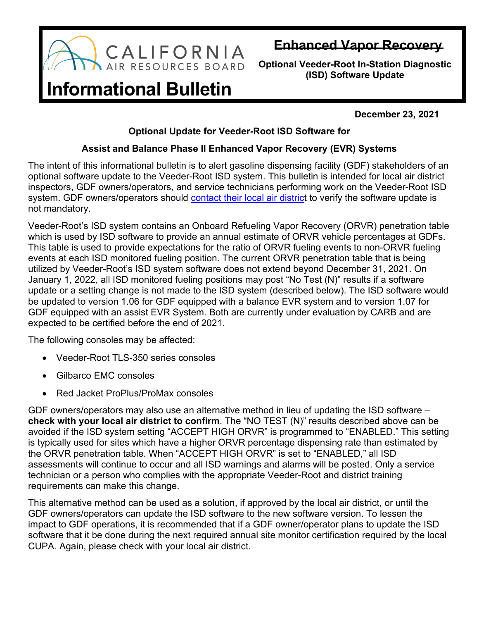

## **Enhanced Vapor Recovery**

**Optional Veeder-Root In-Station Diagnostic (ISD) Software Update**

## **Informational Bulletin**

**December 23, 2021**

## **Optional Update for Veeder-Root ISD Software for**

## **Assist and Balance Phase II Enhanced Vapor Recovery (EVR) Systems**

The intent of this informational bulletin is to alert gasoline dispensing facility (GDF) stakeholders of an optional software update to the Veeder-Root ISD system. This bulletin is intended for local air district inspectors, GDF owners/operators, and service technicians performing work on the Veeder-Root ISD system. GDF owners/operators should contact [their local](https://ww2.arb.ca.gov/california-air-districts) air district to verify the software update is not mandatory.

Veeder-Root's ISD system contains an Onboard Refueling Vapor Recovery (ORVR) penetration table which is used by ISD software to provide an annual estimate of ORVR vehicle percentages at GDFs. This table is used to provide expectations for the ratio of ORVR fueling events to non-ORVR fueling events at each ISD monitored fueling position. The current ORVR penetration table that is being utilized by Veeder-Root's ISD system software does not extend beyond December 31, 2021. On January 1, 2022, all ISD monitored fueling positions may post "No Test (N)" results if a software update or a setting change is not made to the ISD system (described below). The ISD software would be updated to version 1.06 for GDF equipped with a balance EVR system and to version 1.07 for GDF equipped with an assist EVR System. Both are currently under evaluation by CARB and are expected to be certified before the end of 2021.

The following consoles may be affected:

- Veeder-Root TLS-350 series consoles
- Gilbarco EMC consoles
- Red Jacket ProPlus/ProMax consoles

GDF owners/operators may also use an alternative method in lieu of updating the ISD software – **check with your local air district to confirm**. The "NO TEST (N)" results described above can be avoided if the ISD system setting "ACCEPT HIGH ORVR" is programmed to "ENABLED." This setting is typically used for sites which have a higher ORVR percentage dispensing rate than estimated by the ORVR penetration table. When "ACCEPT HIGH ORVR" is set to "ENABLED," all ISD assessments will continue to occur and all ISD warnings and alarms will be posted. Only a service technician or a person who complies with the appropriate Veeder-Root and district training requirements can make this change.

This alternative method can be used as a solution, if approved by the local air district, or until the GDF owners/operators can update the ISD software to the new software version. To lessen the impact to GDF operations, it is recommended that if a GDF owner/operator plans to update the ISD software that it be done during the next required annual site monitor certification required by the local CUPA. Again, please check with your local air district.